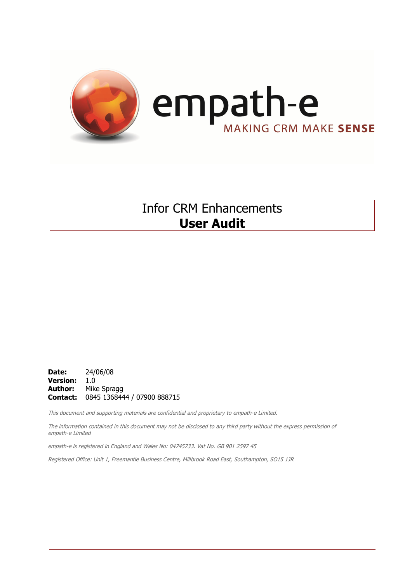

## Infor CRM Enhancements **User Audit**

**Date:** 24/06/08 **Version:** 1.0 **Author:** Mike Spragg **Contact:** 0845 1368444 / 07900 888715

This document and supporting materials are confidential and proprietary to empath-e Limited.

The information contained in this document may not be disclosed to any third party without the express permission of empath-e Limited

empath-e is registered in England and Wales No: 04745733. Vat No. GB 901 2597 45

Registered Office: Unit 1, Freemantle Business Centre, Millbrook Road East, Southampton, SO15 1JR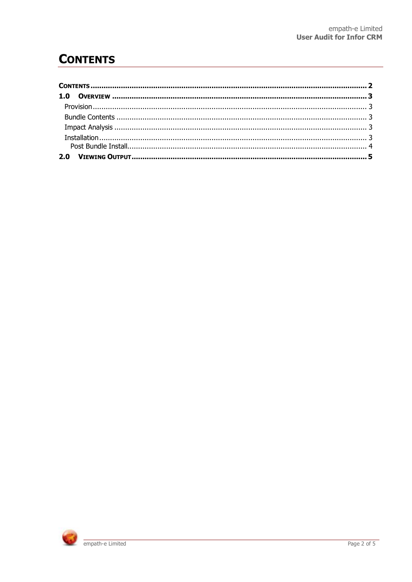## **CONTENTS**

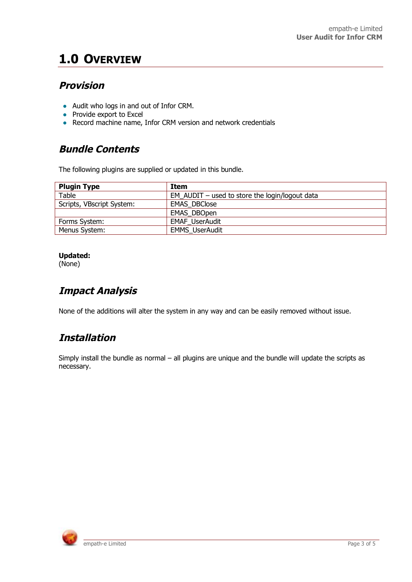## **1.0 OVERVIEW**

### **Provision**

- Audit who logs in and out of Infor CRM.
- Provide export to Excel
- Record machine name, Infor CRM version and network credentials

### **Bundle Contents**

The following plugins are supplied or updated in this bundle.

| <b>Plugin Type</b>        | Item                                             |
|---------------------------|--------------------------------------------------|
| Table                     | EM AUDIT $-$ used to store the login/logout data |
| Scripts, VBscript System: | <b>EMAS DBClose</b>                              |
|                           | <b>EMAS DBOpen</b>                               |
| Forms System:             | <b>EMAF UserAudit</b>                            |
| Menus System:             | <b>EMMS UserAudit</b>                            |

#### **Updated:**

(None)

## **Impact Analysis**

None of the additions will alter the system in any way and can be easily removed without issue.

### **Installation**

Simply install the bundle as normal – all plugins are unique and the bundle will update the scripts as necessary.

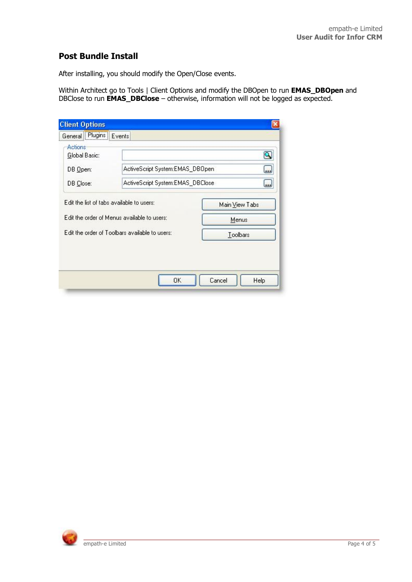#### **Post Bundle Install**

After installing, you should modify the Open/Close events.

Within Architect go to Tools | Client Options and modify the DBOpen to run **EMAS\_DBOpen** and DBClose to run **EMAS\_DBClose** – otherwise, information will not be logged as expected.

| General Plugins          | Events                                         |                         |  |  |
|--------------------------|------------------------------------------------|-------------------------|--|--|
| Actions<br>Global Basic: |                                                | $\mathsf{\overline{Q}}$ |  |  |
| DB Open:                 | ActiveScript System:EMAS_DB0pen.               | لغة ا                   |  |  |
| DB Close:                | ActiveScript System:EMAS_DBClose.              | <u></u>                 |  |  |
|                          | Edit the order of Menus available to users:    | Menus                   |  |  |
|                          | Edit the order of Toolbars available to users: |                         |  |  |
|                          |                                                | Toolbars                |  |  |